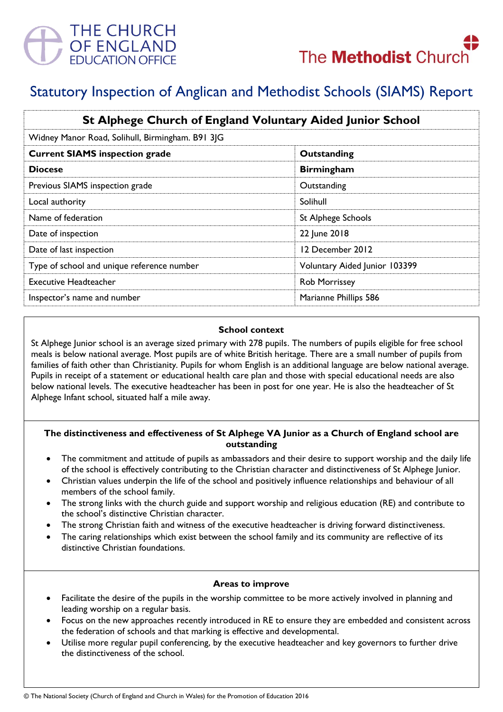

# Statutory Inspection of Anglican and Methodist Schools (SIAMS) Report

| <b>St Alphege Church of England Voluntary Aided Junior School</b> |                               |
|-------------------------------------------------------------------|-------------------------------|
| Widney Manor Road, Solihull, Birmingham. B91 3JG                  |                               |
| <b>Current SIAMS inspection grade</b>                             | Outstanding                   |
| <b>Diocese</b>                                                    | <b>Birmingham</b>             |
| Previous SIAMS inspection grade                                   | Outstanding                   |
| Local authority                                                   | Solihull                      |
| Name of federation                                                | St Alphege Schools            |
| Date of inspection                                                | 22 June 2018                  |
| Date of last inspection                                           | 12 December 2012              |
| Type of school and unique reference number                        | Voluntary Aided Junior 103399 |
| Executive Headteacher                                             | <b>Rob Morrissey</b>          |
| Inspector's name and number                                       | Marianne Phillips 586         |

# **School context**

St Alphege Junior school is an average sized primary with 278 pupils. The numbers of pupils eligible for free school meals is below national average. Most pupils are of white British heritage. There are a small number of pupils from families of faith other than Christianity. Pupils for whom English is an additional language are below national average. Pupils in receipt of a statement or educational health care plan and those with special educational needs are also below national levels. The executive headteacher has been in post for one year. He is also the headteacher of St Alphege Infant school, situated half a mile away.

# **The distinctiveness and effectiveness of St Alphege VA Junior as a Church of England school are outstanding**

- The commitment and attitude of pupils as ambassadors and their desire to support worship and the daily life of the school is effectively contributing to the Christian character and distinctiveness of St Alphege Junior.
- Christian values underpin the life of the school and positively influence relationships and behaviour of all members of the school family.
- The strong links with the church guide and support worship and religious education (RE) and contribute to the school's distinctive Christian character.
- The strong Christian faith and witness of the executive headteacher is driving forward distinctiveness.
- The caring relationships which exist between the school family and its community are reflective of its distinctive Christian foundations.

# **Areas to improve**

- Facilitate the desire of the pupils in the worship committee to be more actively involved in planning and leading worship on a regular basis.
- Focus on the new approaches recently introduced in RE to ensure they are embedded and consistent across the federation of schools and that marking is effective and developmental.
- Utilise more regular pupil conferencing, by the executive headteacher and key governors to further drive the distinctiveness of the school.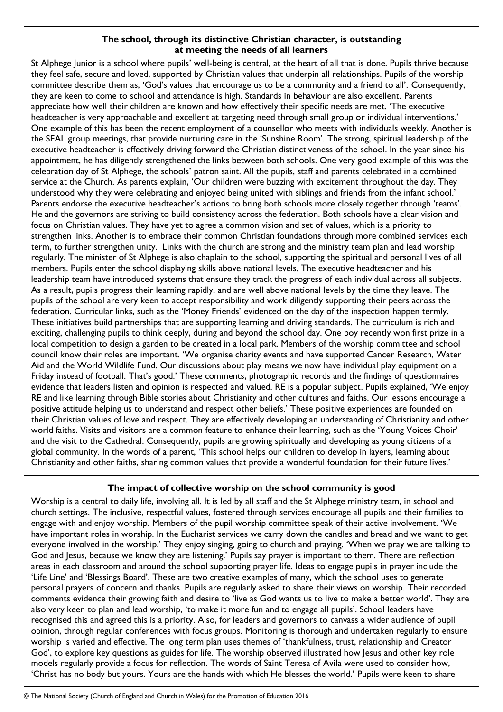# **The school, through its distinctive Christian character, is outstanding at meeting the needs of all learners**

St Alphege Junior is a school where pupils' well-being is central, at the heart of all that is done. Pupils thrive because they feel safe, secure and loved, supported by Christian values that underpin all relationships. Pupils of the worship committee describe them as, 'God's values that encourage us to be a community and a friend to all'. Consequently, they are keen to come to school and attendance is high. Standards in behaviour are also excellent. Parents appreciate how well their children are known and how effectively their specific needs are met. 'The executive headteacher is very approachable and excellent at targeting need through small group or individual interventions.' One example of this has been the recent employment of a counsellor who meets with individuals weekly. Another is the SEAL group meetings, that provide nurturing care in the 'Sunshine Room'. The strong, spiritual leadership of the executive headteacher is effectively driving forward the Christian distinctiveness of the school. In the year since his appointment, he has diligently strengthened the links between both schools. One very good example of this was the celebration day of St Alphege, the schools' patron saint. All the pupils, staff and parents celebrated in a combined service at the Church. As parents explain, 'Our children were buzzing with excitement throughout the day. They understood why they were celebrating and enjoyed being united with siblings and friends from the infant school.' Parents endorse the executive headteacher's actions to bring both schools more closely together through 'teams'. He and the governors are striving to build consistency across the federation. Both schools have a clear vision and focus on Christian values. They have yet to agree a common vision and set of values, which is a priority to strengthen links. Another is to embrace their common Christian foundations through more combined services each term, to further strengthen unity. Links with the church are strong and the ministry team plan and lead worship regularly. The minister of St Alphege is also chaplain to the school, supporting the spiritual and personal lives of all members. Pupils enter the school displaying skills above national levels. The executive headteacher and his leadership team have introduced systems that ensure they track the progress of each individual across all subjects. As a result, pupils progress their learning rapidly, and are well above national levels by the time they leave. The pupils of the school are very keen to accept responsibility and work diligently supporting their peers across the federation. Curricular links, such as the 'Money Friends' evidenced on the day of the inspection happen termly. These initiatives build partnerships that are supporting learning and driving standards. The curriculum is rich and exciting, challenging pupils to think deeply, during and beyond the school day. One boy recently won first prize in a local competition to design a garden to be created in a local park. Members of the worship committee and school council know their roles are important. 'We organise charity events and have supported Cancer Research, Water Aid and the World Wildlife Fund. Our discussions about play means we now have individual play equipment on a Friday instead of football. That's good.' These comments, photographic records and the findings of questionnaires evidence that leaders listen and opinion is respected and valued. RE is a popular subject. Pupils explained, 'We enjoy RE and like learning through Bible stories about Christianity and other cultures and faiths. Our lessons encourage a positive attitude helping us to understand and respect other beliefs.' These positive experiences are founded on their Christian values of love and respect. They are effectively developing an understanding of Christianity and other world faiths. Visits and visitors are a common feature to enhance their learning, such as the 'Young Voices Choir' and the visit to the Cathedral. Consequently, pupils are growing spiritually and developing as young citizens of a global community. In the words of a parent, 'This school helps our children to develop in layers, learning about Christianity and other faiths, sharing common values that provide a wonderful foundation for their future lives.'

# **The impact of collective worship on the school community is good**

Worship is a central to daily life, involving all. It is led by all staff and the St Alphege ministry team, in school and church settings. The inclusive, respectful values, fostered through services encourage all pupils and their families to engage with and enjoy worship. Members of the pupil worship committee speak of their active involvement. 'We have important roles in worship. In the Eucharist services we carry down the candles and bread and we want to get everyone involved in the worship.' They enjoy singing, going to church and praying. 'When we pray we are talking to God and Jesus, because we know they are listening.' Pupils say prayer is important to them. There are reflection areas in each classroom and around the school supporting prayer life. Ideas to engage pupils in prayer include the 'Life Line' and 'Blessings Board'. These are two creative examples of many, which the school uses to generate personal prayers of concern and thanks. Pupils are regularly asked to share their views on worship. Their recorded comments evidence their growing faith and desire to 'live as God wants us to live to make a better world'. They are also very keen to plan and lead worship, 'to make it more fun and to engage all pupils'. School leaders have recognised this and agreed this is a priority. Also, for leaders and governors to canvass a wider audience of pupil opinion, through regular conferences with focus groups. Monitoring is thorough and undertaken regularly to ensure worship is varied and effective. The long term plan uses themes of 'thankfulness, trust, relationship and Creator God', to explore key questions as guides for life. The worship observed illustrated how Jesus and other key role models regularly provide a focus for reflection. The words of Saint Teresa of Avila were used to consider how, 'Christ has no body but yours. Yours are the hands with which He blesses the world.' Pupils were keen to share